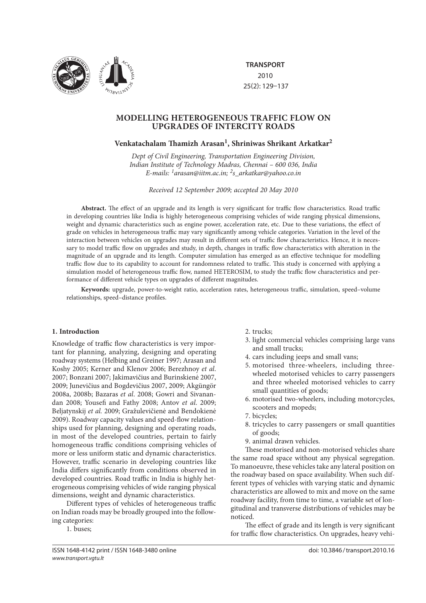



**TRANSPORT** 2010 25(2): 129–137

# **MODELLING HETEROGENEOUS TRAFFIC FLOW ON UPGRADES OF INTERCITY ROADS**

# **Venkatachalam "amizh Arasan<sup>1</sup> , Shriniwas Shrikant Arkatkar<sup>2</sup>**

Dept of Civil Engineering, Transportation Engineering Division, Indian Institute of Technology Madras, Chennai – 600 036, India E-mails: <sup>1</sup>arasan@iitm.ac.in; <sup>2</sup>s\_arkatkar@yahoo.co.in

Received 12 September 2009; accepted 20 May 2010

Abstract. The effect of an upgrade and its length is very significant for traffic flow characteristics. Road traffic in developing countries like India is highly heterogeneous comprising vehicles of wide ranging physical dimensions, weight and dynamic characteristics such as engine power, acceleration rate, etc. Due to these variations, the effect of grade on vehicles in heterogeneous traffic may vary significantly among vehicle categories. Variation in the level of the interaction between vehicles on upgrades may result in different sets of traffic flow characteristics. Hence, it is necessary to model traffic flow on upgrades and study, in depth, changes in traffic flow characteristics with alteration in the magnitude of an upgrade and its length. Computer simulation has emerged as an effective technique for modelling traffic flow due to its capability to account for randomness related to traffic. This study is concerned with applying a simulation model of heterogeneous traffic flow, named HETEROSIM, to study the traffic flow characteristics and performance of different vehicle types on upgrades of different magnitudes.

**Keywords:** upgrade, power-to-weight ratio, acceleration rates, heterogeneous traffic, simulation, speed–volume relationships, speed-distance profiles.

# **1. Introduction**

Knowledge of traffic flow characteristics is very important for planning, analyzing, designing and operating roadway systems (Helbing and Greiner 1997; Arasan and Koshy 2005; Kerner and Klenov 2006; Berezhnoy et al. 2007; Bonzani 2007; Jakimavičius and Burinskienė 2007, 2009; Junevičius and Bogdevičius 2007, 2009; Akgüngör 2008a, 2008b; Bazaras et al. 2008; Gowri and Sivanandan 2008; Yousefi and Fathy 2008; Antov et al. 2009; Beljatynskij et al. 2009; Gražulevičienė and Bendokienė 2009). Roadway capacity values and speed-flow relationships used for planning, designing and operating roads, in most of the developed countries, pertain to fairly homogeneous traffic conditions comprising vehicles of more or less uniform static and dynamic characteristics. However, traffic scenario in developing countries like India differs significantly from conditions observed in developed countries. Road traffic in India is highly heterogeneous comprising vehicles of wide ranging physical dimensions, weight and dynamic characteristics.

Different types of vehicles of heterogeneous traffic on Indian roads may be broadly grouped into the following categories:

1. buses;

- 2. trucks;
- 3. light commercial vehicles comprising large vans and small trucks;
- 4. cars including jeeps and small vans;
- 5. motorised three-wheelers, including threewheeled motorised vehicles to carry passengers and three wheeled motorised vehicles to carry small quantities of goods;
- 6. motorised two-wheelers, including motorcycles, scooters and mopeds;
- 7. bicycles;
- 8. tricycles to carry passengers or small quantities of goods;
- 9. animal drawn vehicles.

These motorised and non-motorised vehicles share the same road space without any physical segregation. To manoeuvre, these vehicles take any lateral position on the roadway based on space availability. When such different types of vehicles with varying static and dynamic characteristics are allowed to mix and move on the same roadway facility, from time to time, a variable set of longitudinal and transverse distributions of vehicles may be noticed.

The effect of grade and its length is very significant for traffic flow characteristics. On upgrades, heavy vehi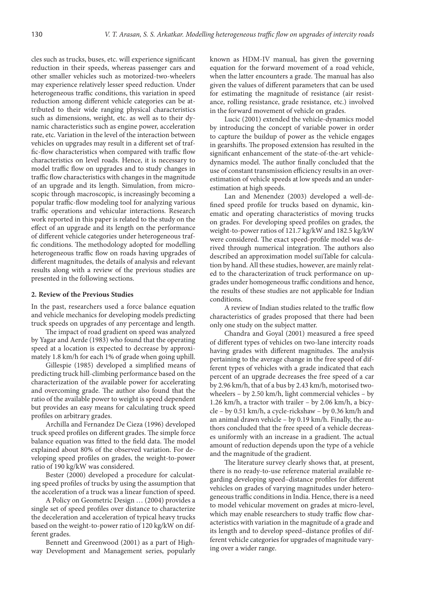cles such as trucks, buses, etc. will experience significant reduction in their speeds, whereas passenger cars and other smaller vehicles such as motorized-two-wheelers may experience relatively lesser speed reduction. Under heterogeneous traffic conditions, this variation in speed reduction among different vehicle categories can be attributed to their wide ranging physical characteristics such as dimensions, weight, etc. as well as to their dynamic characteristics such as engine power, acceleration rate, etc. Variation in the level of the interaction between vehicles on upgrades may result in a different set of traffic-flow characteristics when compared with traffic flow characteristics on level roads. Hence, it is necessary to model traffic flow on upgrades and to study changes in traffic flow characteristics with changes in the magnitude of an upgrade and its length. Simulation, from microscopic through macroscopic, is increasingly becoming a popular traffic-flow modeling tool for analyzing various traffic operations and vehicular interactions. Research work reported in this paper is related to the study on the effect of an upgrade and its length on the performance of different vehicle categories under heterogeneous traffic conditions. The methodology adopted for modelling heterogeneous traffic flow on roads having upgrades of different magnitudes, the details of analysis and relevant results along with a review of the previous studies are presented in the following sections.

#### **2. Review of the Previous Studies**

In the past, researchers used a force balance equation and vehicle mechanics for developing models predicting truck speeds on upgrades of any percentage and length.

The impact of road gradient on speed was analyzed by Yagar and Aerde (1983) who found that the operating speed at a location is expected to decrease by approximately 1.8 km/h for each 1% of grade when going uphill.

Gillespie (1985) developed a simplified means of predicting truck hill-climbing performance based on the characterization of the available power for accelerating and overcoming grade. The author also found that the ratio of the available power to weight is speed dependent but provides an easy means for calculating truck speed profiles on arbitrary grades.

Archilla and Fernandez De Cieza (1996) developed truck speed profiles on different grades. The simple force balance equation was fitted to the field data. The model explained about 80% of the observed variation. For developing speed profiles on grades, the weight-to-power ratio of 190 kg/kW was considered.

Bester (2000) developed a procedure for calculating speed profiles of trucks by using the assumption that the acceleration of a truck was a linear function of speed.

A Policy on Geometric Design … (2004) provides a single set of speed profiles over distance to characterize the deceleration and acceleration of typical heavy trucks based on the weight-to-power ratio of 120 kg/kW on different grades.

Bennett and Greenwood (2001) as a part of Highway Development and Management series, popularly known as HDM-IV manual, has given the governing equation for the forward movement of a road vehicle, when the latter encounters a grade. The manual has also given the values of different parameters that can be used for estimating the magnitude of resistance (air resistance, rolling resistance, grade resistance, etc.) involved in the forward movement of vehicle on grades.

Lucic (2001) extended the vehicle-dynamics model by introducing the concept of variable power in order to capture the buildup of power as the vehicle engages in gearshifts. The proposed extension has resulted in the significant enhancement of the state-of-the-art vehicledynamics model. The author finally concluded that the use of constant transmission efficiency results in an overestimation of vehicle speeds at low speeds and an underestimation at high speeds.

Lan and Menendez (2003) developed a well-de fined speed profile for trucks based on dynamic, kinematic and operating characteristics of moving trucks on grades. For developing speed profiles on grades, the weight-to-power ratios of 121.7 kg/kW and 182.5 kg/kW were considered. The exact speed-profile model was derived through numerical integration. The authors also described an approximation model suiTable for calculation by hand. All these studies, however, are mainly related to the characterization of truck performance on upgrades under homogeneous traffic conditions and hence, the results of these studies are not applicable for Indian conditions.

A review of Indian studies related to the traffic flow characteristics of grades proposed that there had been only one study on the subject matter.

Chandra and Goyal (2001) measured a free speed of different types of vehicles on two-lane intercity roads having grades with different magnitudes. The analysis pertaining to the average change in the free speed of different types of vehicles with a grade indicated that each percent of an upgrade decreases the free speed of a car by 2.96 km/h, that of a bus by 2.43 km/h, motorised twowheelers – by 2.50 km/h, light commercial vehicles – by 1.26 km/h, a tractor with trailer – by 2.06 km/h, a bicycle – by 0.51 km/h, a cycle-rickshaw – by 0.36 km/h and an animal drawn vehicle – by 0.19 km/h. Finally, the authors concluded that the free speed of a vehicle decreases uniformly with an increase in a gradient. The actual amount of reduction depends upon the type of a vehicle and the magnitude of the gradient.

The literature survey clearly shows that, at present, there is no ready-to-use reference material available regarding developing speed–distance profiles for different vehicles on grades of varying magnitudes under heterogeneous traffic conditions in India. Hence, there is a need to model vehicular movement on grades at micro-level, which may enable researchers to study traffic flow characteristics with variation in the magnitude of a grade and its length and to develop speed-distance profiles of different vehicle categories for upgrades of magnitude varying over a wider range.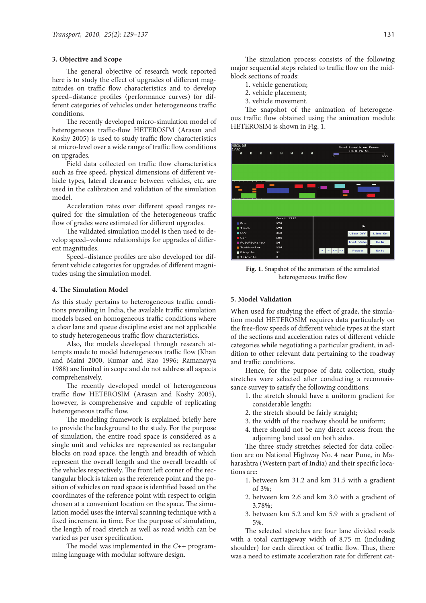## **3. Objective and Scope**

The general objective of research work reported here is to study the effect of upgrades of different magnitudes on traffic flow characteristics and to develop speed-distance profiles (performance curves) for different categories of vehicles under heterogeneous traffic conditions.

The recently developed micro-simulation model of heterogeneous traffic-flow HETEROSIM (Arasan and Koshy 2005) is used to study traffic flow characteristics at micro-level over a wide range of traffic flow conditions on upgrades.

Field data collected on traffic flow characteristics such as free speed, physical dimensions of different vehicle types, lateral clearance between vehicles, etc. are used in the calibration and validation of the simulation model.

Acceleration rates over different speed ranges required for the simulation of the heterogeneous traffic flow of grades were estimated for different upgrades.

The validated simulation model is then used to develop speed-volume relationships for upgrades of different magnitudes.

Speed–distance profiles are also developed for different vehicle categories for upgrades of different magnitudes using the simulation model.

#### **4. The Simulation Model**

As this study pertains to heterogeneous traffic conditions prevailing in India, the available traffic simulation models based on homogeneous traffic conditions where a clear lane and queue discipline exist are not applicable to study heterogeneous traffic flow characteristics.

Also, the models developed through research attempts made to model heterogeneous traffic flow (Khan and Maini 2000; Kumar and Rao 1996; Ramanayya 1988) are limited in scope and do not address all aspects comprehensively.

The recently developed model of heterogeneous traffic flow HETEROSIM (Arasan and Koshy 2005), however, is comprehensive and capable of replicating heterogeneous traffic flow.

The modeling framework is explained briefly here to provide the background to the study. For the purpose of simulation, the entire road space is considered as a single unit and vehicles are represented as rectangular blocks on road space, the length and breadth of which represent the overall length and the overall breadth of the vehicles respectively. The front left corner of the rectangular block is taken as the reference point and the position of vehicles on road space is identified based on the coordinates of the reference point with respect to origin chosen at a convenient location on the space. The simulation model uses the interval scanning technique with a fixed increment in time. For the purpose of simulation, the length of road stretch as well as road width can be varied as per user specification.

The model was implemented in the  $C_{++}$  programming language with modular software design.

The simulation process consists of the following major sequential steps related to traffic flow on the midblock sections of roads:

- 1. vehicle generation;
- 2. vehicle placement;
- 3. vehicle movement.

The snapshot of the animation of heterogeneous traffic flow obtained using the animation module HETEROSIM is shown in Fig. 1.



**Fig. 1.** Snapshot of the animation of the simulated heterogeneous traffic flow

### **5. Model Validation**

When used for studying the effect of grade, the simulation model HETEROSIM requires data particularly on the free-flow speeds of different vehicle types at the start of the sections and acceleration rates of different vehicle categories while negotiating a particular gradient, in addition to other relevant data pertaining to the roadway and traffic conditions.

Hence, for the purpose of data collection, study stretches were selected after conducting a reconnaissance survey to satisfy the following conditions:

- 1. the stretch should have a uniform gradient for considerable length;
- 2. the stretch should be fairly straight;
- 3. the width of the roadway should be uniform;
- 4. there should not be any direct access from the adjoining land used on both sides.

The three study stretches selected for data collection are on National Highway No. 4 near Pune, in Maharashtra (Western part of India) and their specific locations are:

- 1. between km 31.2 and km 31.5 with a gradient of 3%;
- 2. between km 2.6 and km 3.0 with a gradient of 3.78%;
- 3. between km 5.2 and km 5.9 with a gradient of 5%.

The selected stretches are four lane divided roads with a total carriageway width of 8.75 m (including shoulder) for each direction of traffic flow. Thus, there was a need to estimate acceleration rate for different cat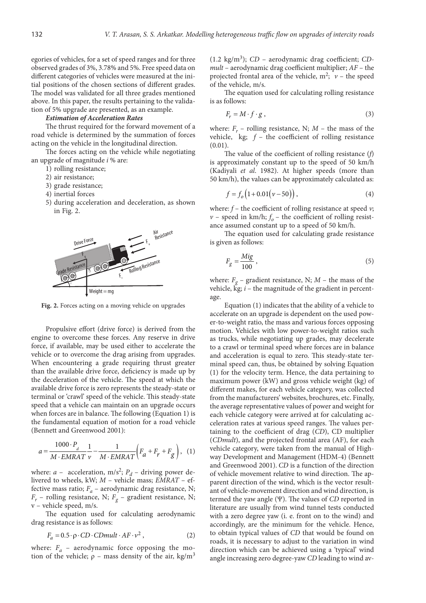egories of vehicles, for a set of speed ranges and for three observed grades of 3%, 3.78% and 5%. Free speed data on different categories of vehicles were measured at the initial positions of the chosen sections of different grades. The model was validated for all three grades mentioned above. In this paper, the results pertaining to the validation of 5% upgrade are presented, as an example.

#### **Estimation of Acceleration Rates**

The thrust required for the forward movement of a road vehicle is determined by the summation of forces acting on the vehicle in the longitudinal direction.

The forces acting on the vehicle while negotiating an upgrade of magnitude  $i$  % are:

- 1) rolling resistance;
- 2) air resistance;
- 3) grade resistance;
- 4) inertial forces
- 5) during acceleration and deceleration, as shown in Fig. 2.



**Fig. 2.** Forces acting on a moving vehicle on upgrades

Propulsive effort (drive force) is derived from the engine to overcome these forces. Any reserve in drive force, if available, may be used either to accelerate the vehicle or to overcome the drag arising from upgrades. When encountering a grade requiring thrust greater than the available drive force, deficiency is made up by the deceleration of the vehicle. The speed at which the available drive force is zero represents the steady-state or terminal or 'crawl' speed of the vehicle. This steady-state speed that a vehicle can maintain on an upgrade occurs when forces are in balance. The following (Equation 1) is the fundamental equation of motion for a road vehicle (Bennett and Greenwood 2001):

$$
a = \frac{1000 \cdot P_d}{M \cdot EMRAT} \frac{1}{v} - \frac{1}{M \cdot EMRAT} \left( F_a + F_r + F_g \right), \tag{1}
$$

where:  $a$  – acceleration, m/s<sup>2</sup>;  $P_d$  – driving power delivered to wheels, kW; M – vehicle mass; EMRAT – effective mass ratio;  $F_a$  – aerodynamic drag resistance, N;  $F_r$  – rolling resistance, N;  $F_g$  – gradient resistance, N; v – vehicle speed, m/s.

The equation used for calculating aerodynamic drag resistance is as follows:

$$
F_a = 0.5 \cdot \rho \cdot CD \cdot CD \cdot nullt \cdot AF \cdot v^2 \,,\tag{2}
$$

where:  $F_a$  – aerodynamic force opposing the motion of the vehicle;  $\rho$  – mass density of the air, kg/m<sup>3</sup>

 $(1.2 \text{ kg/m}^3)$ ; CD - aerodynamic drag coefficient; CD $mult$  – aerodynamic drag coefficient multiplier;  $AF$  – the projected frontal area of the vehicle,  $m^2$ ;  $\nu$  – the speed of the vehicle, m/s.

The equation used for calculating rolling resistance is as follows:

$$
F_r = M \cdot f \cdot g \,, \tag{3}
$$

where:  $F_r$  – rolling resistance, N;  $M$  – the mass of the vehicle, kg;  $f$  – the coefficient of rolling resistance  $(0.01)$ .

The value of the coefficient of rolling resistance  $(f)$ is approximately constant up to the speed of 50 km/h (Kadiyali et al. 1982). At higher speeds (more than 50 km/h), the values can be approximately calculated as:

$$
f = f_o(1 + 0.01(\nu - 50)),
$$
\n(4)

where:  $f$  – the coefficient of rolling resistance at speed  $v$ ;  $v$  – speed in km/h;  $f<sub>o</sub>$  – the coefficient of rolling resistance assumed constant up to a speed of 50 km/h.

The equation used for calculating grade resistance is given as follows:

$$
F_g = \frac{Mig}{100},\tag{5}
$$

where:  $F_g$  – gradient resistance, N;  $M$  – the mass of the vehicle,  $\hat{kg}$ ;  $i$  – the magnitude of the gradient in percentage.

Equation (1) indicates that the ability of a vehicle to accelerate on an upgrade is dependent on the used power-to-weight ratio, the mass and various forces opposing motion. Vehicles with low power-to-weight ratios such as trucks, while negotiating up grades, may decelerate to a crawl or terminal speed where forces are in balance and acceleration is equal to zero. This steady-state terminal speed can, thus, be obtained by solving Equation (1) for the velocity term. Hence, the data pertaining to maximum power (kW) and gross vehicle weight (kg) of different makes, for each vehicle category, was collected from the manufacturers' websites, brochures, etc. Finally, the average representative values of power and weight for each vehicle category were arrived at for calculating acceleration rates at various speed ranges. The values pertaining to the coefficient of drag  $(CD)$ , CD multiplier (CDmult), and the projected frontal area (AF), for each vehicle category, were taken from the manual of Highway Development and Management (HDM-4) (Bennett and Greenwood 2001). CD is a function of the direction of vehicle movement relative to wind direction. The apparent direction of the wind, which is the vector resultant of vehicle-movement direction and wind direction, is termed the yaw angle  $(\Psi)$ . The values of CD reported in literature are usually from wind tunnel tests conducted with a zero degree yaw (i. e. front on to the wind) and accordingly, are the minimum for the vehicle. Hence, to obtain typical values of CD that would be found on roads, it is necessary to adjust to the variation in wind direction which can be achieved using a 'typical' wind angle increasing zero degree-yaw CD leading to wind av-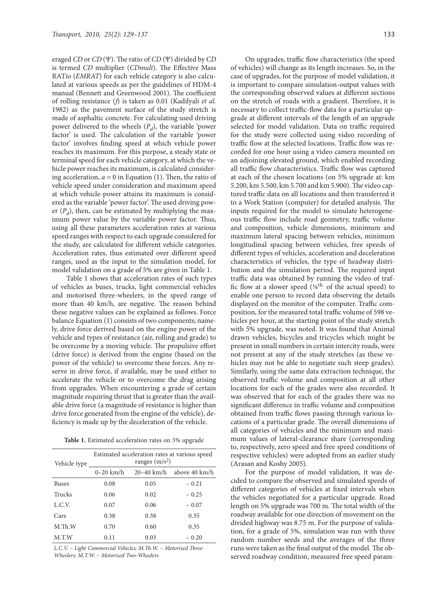eraged CD or CD (Ψ). The ratio of CD (Ψ) divided by CD is termed CD multiplier (CDmult). The Effective Mass RATio (EMRAT) for each vehicle category is also calculated at various speeds as per the guidelines of HDM-4 manual (Bennett and Greenwood 2001). The coefficient of rolling resistance (f) is taken as 0.01 (Kadilyali et al. 1982) as the pavement surface of the study stretch is made of asphaltic concrete. For calculating used driving power delivered to the wheels  $(P_d)$ , the variable 'power factor' is used. The calculation of the variable 'power factor' involves finding speed at which vehicle power reaches its maximum. For this purpose, a steady state or terminal speed for each vehicle category, at which the vehicle power reaches its maximum, is calculated considering acceleration,  $a = 0$  in Equation (1). Then, the ratio of vehicle speed under consideration and maximum speed at which vehicle-power attains its maximum is considered as the variable 'power factor'. The used driving power  $(P_d)$ , then, can be estimated by multiplying the maximum power value by the variable power factor. Thus, using all these parameters acceleration rates at various speed ranges with respect to each upgrade considered for the study, are calculated for different vehicle categories. Acceleration rates, thus estimated over different speed ranges, used as the input to the simulation model, for model validation on a grade of 5% are given in Table 1.

Table 1 shows that acceleration rates of such types of vehicles as buses, trucks, light commercial vehicles and motorised three-wheelers, in the speed range of more than 40 km/h, are negative. The reason behind these negative values can be explained as follows. Force balance Equation (1) consists of two components; namely, drive force derived based on the engine power of the vehicle and types of resistance (air, rolling and grade) to be overcome by a moving vehicle. The propulsive effort (drive force) is derived from the engine (based on the power of the vehicle) to overcome these forces. Any reserve in drive force, if available, may be used either to accelerate the vehicle or to overcome the drag arising from upgrades. When encountering a grade of certain magnitude requiring thrust that is greater than the available drive force (a magnitude of resistance is higher than drive force generated from the engine of the vehicle), de ficiency is made up by the deceleration of the vehicle.

**Table 1.** Estimated acceleration rates on 5% upgrade

| Vehicle type  | Estimated acceleration rates at various speed<br>ranges $(m/s^2)$ |      |                            |  |  |  |
|---------------|-------------------------------------------------------------------|------|----------------------------|--|--|--|
|               | $0-20$ km/h                                                       |      | $20-40$ km/h above 40 km/h |  |  |  |
| <b>Buses</b>  | 0.08                                                              | 0.05 | $-0.21$                    |  |  |  |
| Trucks        | 0.06                                                              | 0.02 | $-0.25$                    |  |  |  |
| L.C.V.        | 0.07                                                              | 0.06 | $-0.07$                    |  |  |  |
| Cars          | 0.38                                                              | 0.38 | 0.35                       |  |  |  |
| $M$ . Th. $W$ | 0.70                                                              | 0.60 | 0.35                       |  |  |  |
| M.T.W         | 0.11                                                              | 0.03 | $-0.20$                    |  |  |  |

L.C.V. - Light Commercial Vehicles; M.Th.W. - Motorised Three-Wheelers; M.T.W. – Motorised Two-Wheelers

On upgrades, traffic flow characteristics (the speed of vehicles) will change as its length increases. So, in the case of upgrades, for the purpose of model validation, it is important to compare simulation-output values with the corresponding observed values at different sections on the stretch of roads with a gradient. Therefore, it is necessary to collect traffic-flow data for a particular upgrade at different intervals of the length of an upgrade selected for model validation. Data on traffic required for the study were collected using video recording of traffic flow at the selected locations. Traffic flow was recorded for one hour using a video camera mounted on an adjoining elevated ground, which enabled recording all traffic flow characteristics. Traffic flow was captured at each of the chosen locations (on 5% upgrade at: km 5.200, km 5.500, km 5.700 and km 5.900). The video captured traffic data on all locations and then transferred it to a Work Station (computer) for detailed analysis. The inputs required for the model to simulate heterogeneous traffic flow include road geometry, traffic volume and composition, vehicle dimensions, minimum and maximum lateral spacing between vehicles, minimum longitudinal spacing between vehicles, free speeds of different types of vehicles, acceleration and deceleration characteristics of vehicles, the type of headway distribution and the simulation period. The required input traffic data was obtained by running the video of traffic flow at a slower speed  $(\frac{1}{8}$ <sup>th</sup> of the actual speed) to enable one person to record data observing the details displayed on the monitor of the computer. Traffic composition, for the measured total traffic volume of 598 vehicles per hour, at the starting point of the study stretch with 5% upgrade, was noted. It was found that Animal drawn vehicles, bicycles and tricycles which might be present in small numbers in certain intercity roads, were not present at any of the study stretches (as these vehicles may not be able to negotiate such steep grades). Similarly, using the same data extraction technique, the observed traffic volume and composition at all other locations for each of the grades were also recorded. It was observed that for each of the grades there was no significant difference in traffic volume and composition obtained from traffic flows passing through various locations of a particular grade. The overall dimensions of all categories of vehicles and the minimum and maximum values of lateral-clearance share (corresponding to, respectively, zero speed and free speed conditions of respective vehicles) were adopted from an earlier study (Arasan and Koshy 2005).

For the purpose of model validation, it was decided to compare the observed and simulated speeds of different categories of vehicles at fixed intervals when the vehicles negotiated for a particular upgrade. Road length on 5% upgrade was 700 m. The total width of the roadway available for one direction of movement on the divided highway was 8.75 m. For the purpose of validation, for a grade of 5%, simulation was run with three random number seeds and the averages of the three runs were taken as the final output of the model. The observed roadway condition, measured free speed param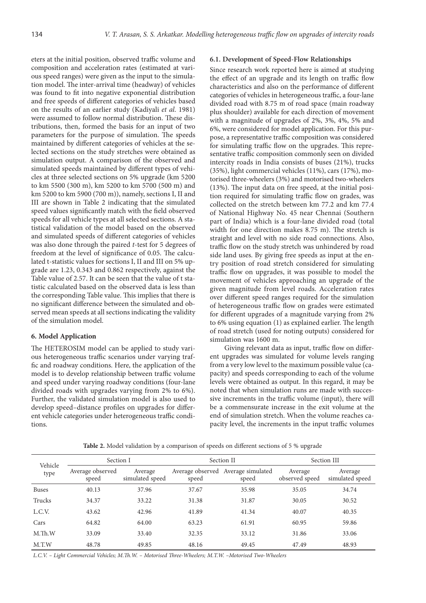eters at the initial position, observed traffic volume and composition and acceleration rates (estimated at various speed ranges) were given as the input to the simulation model. The inter-arrival time (headway) of vehicles was found to fit into negative exponential distribution and free speeds of different categories of vehicles based on the results of an earlier study (Kadiyali et al. 1981) were assumed to follow normal distribution. These distributions, then, formed the basis for an input of two parameters for the purpose of simulation. The speeds maintained by different categories of vehicles at the selected sections on the study stretches were obtained as simulation output. A comparison of the observed and simulated speeds maintained by different types of vehicles at three selected sections on 5% upgrade (km 5200 to km 5500 (300 m), km 5200 to km 5700 (500 m) and km 5200 to km 5900 (700 m)), namely, sections I, II and III are shown in Table 2 indicating that the simulated speed values significantly match with the field observed speeds for all vehicle types at all selected sections. A statistical validation of the model based on the observed and simulated speeds of different categories of vehicles was also done through the paired t-test for 5 degrees of freedom at the level of significance of 0.05. The calculated t-statistic values for sections I, II and III on 5% upgrade are 1.23, 0.343 and 0.862 respectively, against the Table value of 2.57. It can be seen that the value of t statistic calculated based on the observed data is less than the corresponding Table value. This implies that there is no significant difference between the simulated and observed mean speeds at all sections indicating the validity of the simulation model.

### **6. Model Application**

The HETEROSIM model can be applied to study various heterogeneous traffic scenarios under varying traffic and roadway conditions. Here, the application of the model is to develop relationship between traffic volume and speed under varying roadway conditions (four-lane divided roads with upgrades varying from 2% to 6%). Further, the validated simulation model is also used to develop speed–distance profiles on upgrades for different vehicle categories under heterogeneous traffic conditions.

#### **6.1. Development of Speed-Flow Relationships**

Since research work reported here is aimed at studying the effect of an upgrade and its length on traffic flow characteristics and also on the performance of different categories of vehicles in heterogeneous traffic, a four-lane divided road with 8.75 m of road space (main roadway plus shoulder) available for each direction of movement with a magnitude of upgrades of 2%, 3%, 4%, 5% and 6%, were considered for model application. For this purpose, a representative traffic composition was considered for simulating traffic flow on the upgrades. This representative traffic composition commonly seen on divided intercity roads in India consists of buses (21%), trucks (35%), light commercial vehicles (11%), cars (17%), motorised three-wheelers (3%) and motorised two-wheelers  $(13%)$ . The input data on free speed, at the initial position required for simulating traffic flow on grades, was collected on the stretch between km 77.2 and km 77.4 of National Highway No. 45 near Chennai (Southern part of India) which is a four-lane divided road (total width for one direction makes  $8.75$  m). The stretch is straight and level with no side road connections. Also, traffic flow on the study stretch was unhindered by road side land uses. By giving free speeds as input at the entry position of road stretch considered for simulating traffic flow on upgrades, it was possible to model the movement of vehicles approaching an upgrade of the given magnitude from level roads. Acceleration rates over different speed ranges required for the simulation of heterogeneous traffic flow on grades were estimated for different upgrades of a magnitude varying from 2% to 6% using equation (1) as explained earlier. The length of road stretch (used for noting outputs) considered for simulation was 1600 m.

Giving relevant data as input, traffic flow on different upgrades was simulated for volume levels ranging from a very low level to the maximum possible value (capacity) and speeds corresponding to each of the volume levels were obtained as output. In this regard, it may be noted that when simulation runs are made with successive increments in the traffic volume (input), there will be a commensurate increase in the exit volume at the end of simulation stretch. When the volume reaches capacity level, the increments in the input traffic volumes

| Vehicle<br>type | Section I                 |                            | Section II |                                             | Section III               |                            |
|-----------------|---------------------------|----------------------------|------------|---------------------------------------------|---------------------------|----------------------------|
|                 | Average observed<br>speed | Average<br>simulated speed | speed      | Average observed Average simulated<br>speed | Average<br>observed speed | Average<br>simulated speed |
| <b>Buses</b>    | 40.13                     | 37.96                      | 37.67      | 35.98                                       | 35.05                     | 34.74                      |
| Trucks          | 34.37                     | 33.22                      | 31.38      | 31.87                                       | 30.05                     | 30.52                      |
| L.C.V.          | 43.62                     | 42.96                      | 41.89      | 41.34                                       | 40.07                     | 40.35                      |
| Cars            | 64.82                     | 64.00                      | 63.23      | 61.91                                       | 60.95                     | 59.86                      |
| $M$ .Th. $W$    | 33.09                     | 33.40                      | 32.35      | 33.12                                       | 31.86                     | 33.06                      |
| M.T.W           | 48.78                     | 49.85                      | 48.16      | 49.45                                       | 47.49                     | 48.93                      |

Table 2. Model validation by a comparison of speeds on different sections of 5 % upgrade

L.C.V. - Light Commercial Vehicles; M.Th.W. - Motorised Three-Wheelers; M.T.W. - Motorised Two-Wheelers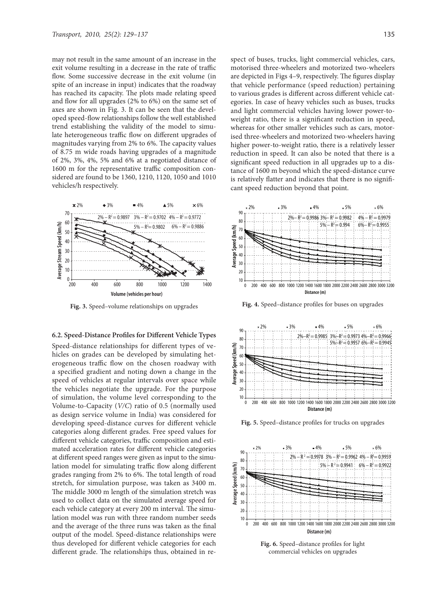may not result in the same amount of an increase in the exit volume resulting in a decrease in the rate of traffic flow. Some successive decrease in the exit volume (in spite of an increase in input) indicates that the roadway has reached its capacity. The plots made relating speed and flow for all upgrades (2% to  $6\%$ ) on the same set of axes are shown in Fig. 3. It can be seen that the developed speed-flow relationships follow the well established trend establishing the validity of the model to simulate heterogeneous traffic flow on different upgrades of magnitudes varying from 2% to 6%. The capacity values of 8.75 m wide roads having upgrades of a magnitude of 2%, 3%, 4%, 5% and 6% at a negotiated distance of 1600 m for the representative traffic composition considered are found to be 1360, 1210, 1120, 1050 and 1010 vehicles/h respectively.



**Fig. 3.** Speed–volume relationships on upgrades

#### **6.2. Speed-Distance Profiles for Different Vehicle Types**

Speed-distance relationships for different types of vehicles on grades can be developed by simulating heterogeneous traffic flow on the chosen roadway with a specified gradient and noting down a change in the speed of vehicles at regular intervals over space while the vehicles negotiate the upgrade. For the purpose of simulation, the volume level corresponding to the Volume-to-Capacity (V/C) ratio of 0.5 (normally used as design service volume in India) was considered for developing speed-distance curves for different vehicle categories along different grades. Free speed values for different vehicle categories, traffic composition and estimated acceleration rates for different vehicle categories at different speed ranges were given as input to the simulation model for simulating traffic flow along different grades ranging from 2% to 6%. The total length of road stretch, for simulation purpose, was taken as 3400 m. The middle 3000 m length of the simulation stretch was used to collect data on the simulated average speed for each vehicle category at every 200 m interval. The simulation model was run with three random number seeds and the average of the three runs was taken as the final output of the model. Speed-distance relationships were thus developed for different vehicle categories for each different grade. The relationships thus, obtained in respect of buses, trucks, light commercial vehicles, cars, motorised three-wheelers and motorized two-wheelers are depicted in Figs  $4-9$ , respectively. The figures display that vehicle performance (speed reduction) pertaining to various grades is different across different vehicle categories. In case of heavy vehicles such as buses, trucks and light commercial vehicles having lower power-toweight ratio, there is a significant reduction in speed, whereas for other smaller vehicles such as cars, motorised three-wheelers and motorized two-wheelers having higher power-to-weight ratio, there is a relatively lesser reduction in speed. It can also be noted that there is a significant speed reduction in all upgrades up to a distance of 1600 m beyond which the speed-distance curve is relatively flatter and indicates that there is no significant speed reduction beyond that point.



Fig. 4. Speed–distance profiles for buses on upgrades



Fig. 5. Speed-distance profiles for trucks on upgrades



Fig. 6. Speed-distance profiles for light commercial vehicles on upgrades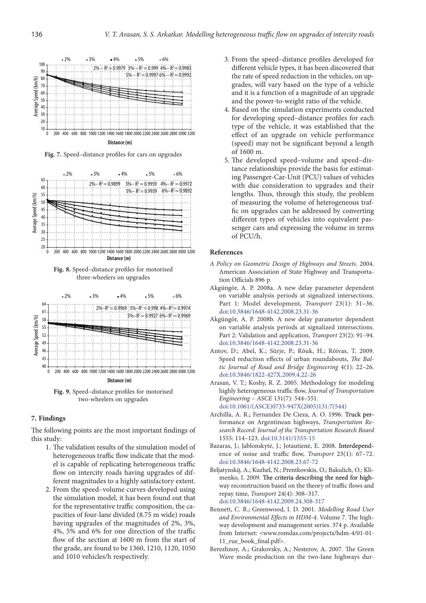

Fig. 7. Speed–distance profiles for cars on upgrades







Fig. 9. Speed-distance profiles for motorised two-wheelers on upgrades

# **7. Findings**

The following points are the most important findings of this study:

- 1. The validation results of the simulation model of heterogeneous traffic flow indicate that the model is capable of replicating heterogeneous traffic flow on intercity roads having upgrades of different magnitudes to a highly satisfactory extent.
- 2. From the speed–volume curves developed using the simulation model, it has been found out that for the representative traffic composition, the capacities of four-lane divided (8.75 m wide) roads having upgrades of the magnitudes of 2%, 3%,  $4\%$ ,  $5\%$  and  $6\%$  for one direction of the traffic flow of the section at 1600 m from the start of the grade, are found to be 1360, 1210, 1120, 1050 and 1010 vehicles/h respectively.
- 3. From the speed-distance profiles developed for different vehicle types, it has been discovered that the rate of speed reduction in the vehicles, on upgrades, will vary based on the type of a vehicle and it is a function of a magnitude of an upgrade and the power-to-weight ratio of the vehicle.
- 4. Based on the simulation experiments conducted for developing speed–distance profiles for each type of the vehicle, it was established that the effect of an upgrade on vehicle performance (speed) may not be significant beyond a length of 1600 m.
- 5. The developed speed-volume and speed-distance relationships provide the basis for estimating Passenger-Car-Unit (PCU) values of vehicles with due consideration to upgrades and their lengths. Thus, through this study, the problem of measuring the volume of heterogeneous traf fic on upgrades can be addressed by converting different types of vehicles into equivalent passenger cars and expressing the volume in terms of PCU/h.

## **References**

- A Policy on Geometric Design of Highways and Streets. 2004. American Association of State Highway and Transportation Officials 896 p.
- Akgüngör, A. P. 2008a. A new delay parameter dependent on variable analysis periods at signalized intersections. Part 1: Model development, Transport 23(1): 31–36. doi:10.3846/1648-4142.2008.23.31-36
- Akgüngör, A. P. 2008b. A new delay parameter dependent on variable analysis periods at signalized intersections. Part 2: Validation and application, Transport 23(2): 91–94. doi:10.3846/1648-4142.2008.23.31-36
- Antov, D.; Abel, K.; Sürje, P.; Rõuk, H.; Rõivas, T. 2009. Speed reduction effects of urban roundabouts, The Baltic Journal of Road and Bridge Engineering 4(1): 22–26. doi:10.3846/1822-427X.2009.4.22-26
- Arasan, V. T.; Koshy, R. Z. 2005. Methodology for modeling highly heterogeneous traffic flow, Journal of Transportation Engineering – ASCE 131(7): 544–551. doi:10.1061/(ASCE)0733-947X(2005)131:7(544)
- Archilla, A. R.; Fernandez De Cieza, A. O. 1996. Truck performance on Argentinean highways, Transportation Research Record: Journal of the Transportation Research Board 1555: 114–123. doi:10.3141/1555-15
- Bazaras, J.; Jablonskytė, J.; Jotautienė, E. 2008. Interdependence of noise and traffic flow, Transport  $23(1)$ : 67-72. doi:10.3846/1648-4142.2008.23.67-72
- Beljatynskij, A.; Kuzhel, N.; Prentkovskis, O.; Bakulich, O.; Klimenko, I. 2009. The criteria describing the need for highway reconstruction based on the theory of traffic flows and repay time, Transport 24(4): 308–317. doi:10.3846/1648-4142.2009.24.308-317
	-
- Bennett, C. R.; Greenwood, I. D. 2001. Modelling Road User and Environmental Effects in HDM-4. Volume 7. The highway development and management series. 374 p. Available from Internet: <www.romdas.com/projects/hdm-4/01-01- 11\_rue\_book\_final.pdf>.
- Berezhnoy, A.; Grakovsky, A.; Nesterov, A. 2007. The Green Wave mode production on the two-lane highways dur-